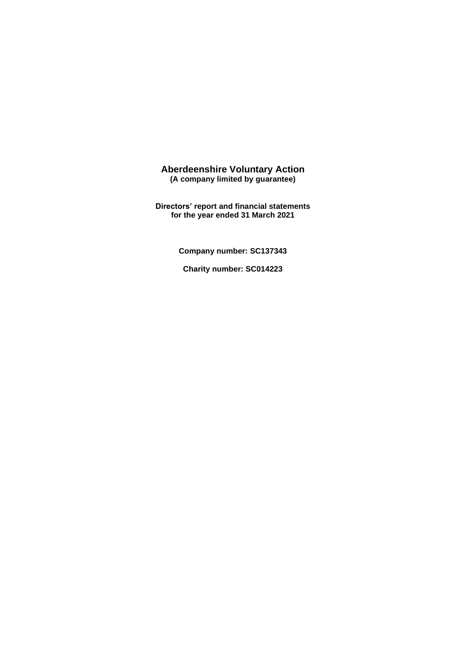**Directors' report and financial statements for the year ended 31 March 2021**

**Company number: SC137343** 

**Charity number: SC014223**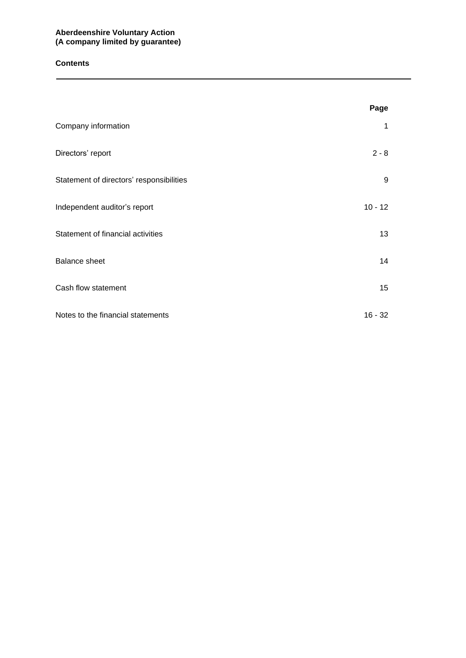## **Contents**

|                                          | Page      |
|------------------------------------------|-----------|
| Company information                      | 1         |
| Directors' report                        | $2 - 8$   |
| Statement of directors' responsibilities | 9         |
| Independent auditor's report             | $10 - 12$ |
| Statement of financial activities        | 13        |
| <b>Balance sheet</b>                     | 14        |
| Cash flow statement                      | 15        |
| Notes to the financial statements        | $16 - 32$ |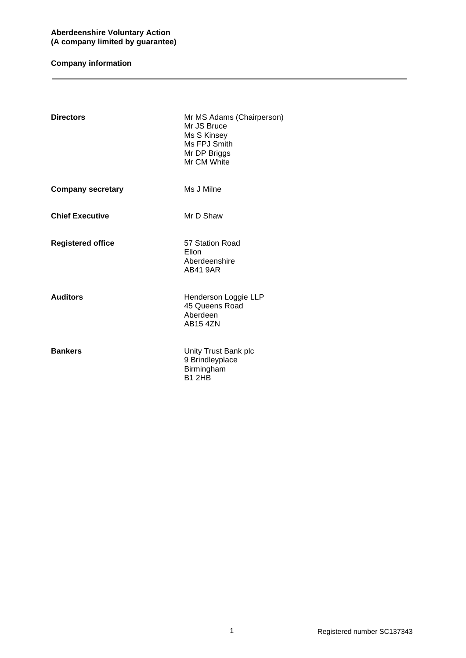# **Company information**

| <b>Directors</b>         | Mr MS Adams (Chairperson)<br>Mr JS Bruce<br>Ms S Kinsey<br>Ms FPJ Smith<br>Mr DP Briggs<br>Mr CM White |
|--------------------------|--------------------------------------------------------------------------------------------------------|
| <b>Company secretary</b> | Ms J Milne                                                                                             |
| <b>Chief Executive</b>   | Mr D Shaw                                                                                              |
| <b>Registered office</b> | 57 Station Road<br>Ellon<br>Aberdeenshire<br><b>AB41 9AR</b>                                           |
| <b>Auditors</b>          | Henderson Loggie LLP<br>45 Queens Road<br>Aberdeen<br><b>AB15 4ZN</b>                                  |
| <b>Bankers</b>           | Unity Trust Bank plc<br>9 Brindleyplace<br>Birmingham<br><b>B1 2HB</b>                                 |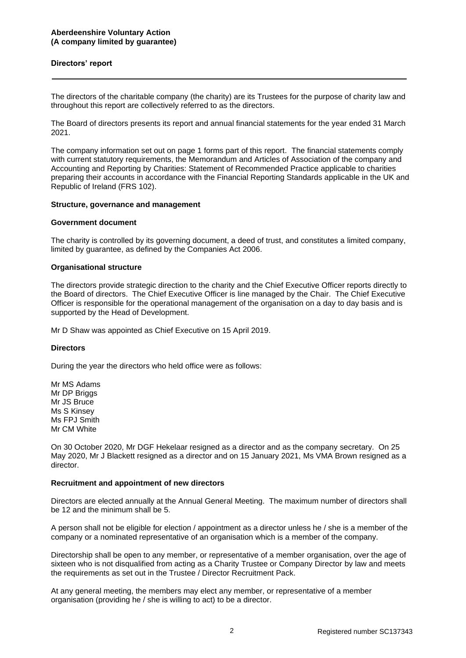### **Directors' report**

The directors of the charitable company (the charity) are its Trustees for the purpose of charity law and throughout this report are collectively referred to as the directors.

The Board of directors presents its report and annual financial statements for the year ended 31 March 2021.

The company information set out on page 1 forms part of this report. The financial statements comply with current statutory requirements, the Memorandum and Articles of Association of the company and Accounting and Reporting by Charities: Statement of Recommended Practice applicable to charities preparing their accounts in accordance with the Financial Reporting Standards applicable in the UK and Republic of Ireland (FRS 102).

#### **Structure, governance and management**

#### **Government document**

The charity is controlled by its governing document, a deed of trust, and constitutes a limited company, limited by guarantee, as defined by the Companies Act 2006.

#### **Organisational structure**

The directors provide strategic direction to the charity and the Chief Executive Officer reports directly to the Board of directors. The Chief Executive Officer is line managed by the Chair. The Chief Executive Officer is responsible for the operational management of the organisation on a day to day basis and is supported by the Head of Development.

Mr D Shaw was appointed as Chief Executive on 15 April 2019.

#### **Directors**

During the year the directors who held office were as follows:

Mr MS Adams Mr DP Briggs Mr JS Bruce Ms S Kinsey Ms FPJ Smith Mr CM White

On 30 October 2020, Mr DGF Hekelaar resigned as a director and as the company secretary. On 25 May 2020, Mr J Blackett resigned as a director and on 15 January 2021, Ms VMA Brown resigned as a director.

#### **Recruitment and appointment of new directors**

Directors are elected annually at the Annual General Meeting. The maximum number of directors shall be 12 and the minimum shall be 5.

A person shall not be eligible for election / appointment as a director unless he / she is a member of the company or a nominated representative of an organisation which is a member of the company.

Directorship shall be open to any member, or representative of a member organisation, over the age of sixteen who is not disqualified from acting as a Charity Trustee or Company Director by law and meets the requirements as set out in the Trustee / Director Recruitment Pack.

At any general meeting, the members may elect any member, or representative of a member organisation (providing he / she is willing to act) to be a director.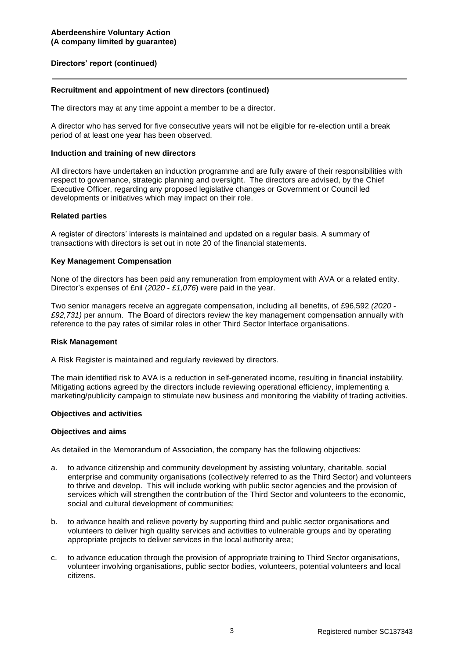#### **Recruitment and appointment of new directors (continued)**

The directors may at any time appoint a member to be a director.

A director who has served for five consecutive years will not be eligible for re-election until a break period of at least one year has been observed.

#### **Induction and training of new directors**

All directors have undertaken an induction programme and are fully aware of their responsibilities with respect to governance, strategic planning and oversight. The directors are advised, by the Chief Executive Officer, regarding any proposed legislative changes or Government or Council led developments or initiatives which may impact on their role.

#### **Related parties**

A register of directors' interests is maintained and updated on a regular basis. A summary of transactions with directors is set out in note 20 of the financial statements.

#### **Key Management Compensation**

None of the directors has been paid any remuneration from employment with AVA or a related entity. Director's expenses of £nil (*2020 - £1,076*) were paid in the year.

Two senior managers receive an aggregate compensation, including all benefits, of £96,592 *(2020 - £92,731)* per annum. The Board of directors review the key management compensation annually with reference to the pay rates of similar roles in other Third Sector Interface organisations.

#### **Risk Management**

A Risk Register is maintained and regularly reviewed by directors.

The main identified risk to AVA is a reduction in self-generated income, resulting in financial instability. Mitigating actions agreed by the directors include reviewing operational efficiency, implementing a marketing/publicity campaign to stimulate new business and monitoring the viability of trading activities.

#### **Objectives and activities**

#### **Objectives and aims**

As detailed in the Memorandum of Association, the company has the following objectives:

- a. to advance citizenship and community development by assisting voluntary, charitable, social enterprise and community organisations (collectively referred to as the Third Sector) and volunteers to thrive and develop. This will include working with public sector agencies and the provision of services which will strengthen the contribution of the Third Sector and volunteers to the economic, social and cultural development of communities;
- b. to advance health and relieve poverty by supporting third and public sector organisations and volunteers to deliver high quality services and activities to vulnerable groups and by operating appropriate projects to deliver services in the local authority area;
- c. to advance education through the provision of appropriate training to Third Sector organisations, volunteer involving organisations, public sector bodies, volunteers, potential volunteers and local citizens.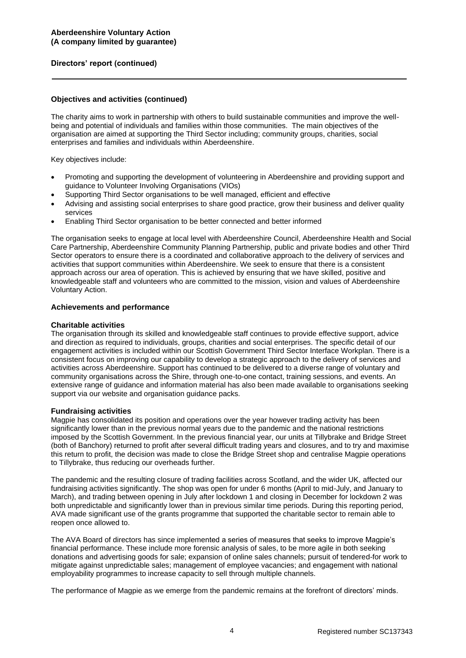## **Objectives and activities (continued)**

The charity aims to work in partnership with others to build sustainable communities and improve the wellbeing and potential of individuals and families within those communities. The main objectives of the organisation are aimed at supporting the Third Sector including; community groups, charities, social enterprises and families and individuals within Aberdeenshire.

Key objectives include:

- Promoting and supporting the development of volunteering in Aberdeenshire and providing support and guidance to Volunteer Involving Organisations (VIOs)
- Supporting Third Sector organisations to be well managed, efficient and effective
- Advising and assisting social enterprises to share good practice, grow their business and deliver quality services
- Enabling Third Sector organisation to be better connected and better informed

The organisation seeks to engage at local level with Aberdeenshire Council, Aberdeenshire Health and Social Care Partnership, Aberdeenshire Community Planning Partnership, public and private bodies and other Third Sector operators to ensure there is a coordinated and collaborative approach to the delivery of services and activities that support communities within Aberdeenshire. We seek to ensure that there is a consistent approach across our area of operation. This is achieved by ensuring that we have skilled, positive and knowledgeable staff and volunteers who are committed to the mission, vision and values of Aberdeenshire Voluntary Action.

#### **Achievements and performance**

#### **Charitable activities**

The organisation through its skilled and knowledgeable staff continues to provide effective support, advice and direction as required to individuals, groups, charities and social enterprises. The specific detail of our engagement activities is included within our Scottish Government Third Sector Interface Workplan. There is a consistent focus on improving our capability to develop a strategic approach to the delivery of services and activities across Aberdeenshire. Support has continued to be delivered to a diverse range of voluntary and community organisations across the Shire, through one-to-one contact, training sessions, and events. An extensive range of guidance and information material has also been made available to organisations seeking support via our website and organisation guidance packs.

#### **Fundraising activities**

Magpie has consolidated its position and operations over the year however trading activity has been significantly lower than in the previous normal years due to the pandemic and the national restrictions imposed by the Scottish Government. In the previous financial year, our units at Tillybrake and Bridge Street (both of Banchory) returned to profit after several difficult trading years and closures, and to try and maximise this return to profit, the decision was made to close the Bridge Street shop and centralise Magpie operations to Tillybrake, thus reducing our overheads further.

The pandemic and the resulting closure of trading facilities across Scotland, and the wider UK, affected our fundraising activities significantly. The shop was open for under 6 months (April to mid-July, and January to March), and trading between opening in July after lockdown 1 and closing in December for lockdown 2 was both unpredictable and significantly lower than in previous similar time periods. During this reporting period, AVA made significant use of the grants programme that supported the charitable sector to remain able to reopen once allowed to.

The AVA Board of directors has since implemented a series of measures that seeks to improve Magpie's financial performance. These include more forensic analysis of sales, to be more agile in both seeking donations and advertising goods for sale; expansion of online sales channels; pursuit of tendered-for work to mitigate against unpredictable sales; management of employee vacancies; and engagement with national employability programmes to increase capacity to sell through multiple channels.

The performance of Magpie as we emerge from the pandemic remains at the forefront of directors' minds.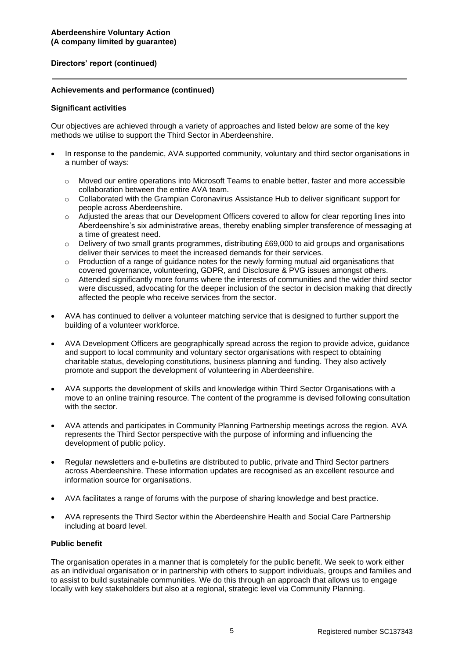## **Achievements and performance (continued)**

### **Significant activities**

Our objectives are achieved through a variety of approaches and listed below are some of the key methods we utilise to support the Third Sector in Aberdeenshire.

- In response to the pandemic, AVA supported community, voluntary and third sector organisations in a number of ways:
	- o Moved our entire operations into Microsoft Teams to enable better, faster and more accessible collaboration between the entire AVA team.
	- o Collaborated with the Grampian Coronavirus Assistance Hub to deliver significant support for people across Aberdeenshire.
	- o Adjusted the areas that our Development Officers covered to allow for clear reporting lines into Aberdeenshire's six administrative areas, thereby enabling simpler transference of messaging at a time of greatest need.
	- $\circ$  Delivery of two small grants programmes, distributing £69,000 to aid groups and organisations deliver their services to meet the increased demands for their services.
	- $\circ$  Production of a range of guidance notes for the newly forming mutual aid organisations that covered governance, volunteering, GDPR, and Disclosure & PVG issues amongst others.
	- o Attended significantly more forums where the interests of communities and the wider third sector were discussed, advocating for the deeper inclusion of the sector in decision making that directly affected the people who receive services from the sector.
- AVA has continued to deliver a volunteer matching service that is designed to further support the building of a volunteer workforce.
- AVA Development Officers are geographically spread across the region to provide advice, guidance and support to local community and voluntary sector organisations with respect to obtaining charitable status, developing constitutions, business planning and funding. They also actively promote and support the development of volunteering in Aberdeenshire.
- AVA supports the development of skills and knowledge within Third Sector Organisations with a move to an online training resource. The content of the programme is devised following consultation with the sector.
- AVA attends and participates in Community Planning Partnership meetings across the region. AVA represents the Third Sector perspective with the purpose of informing and influencing the development of public policy.
- Regular newsletters and e-bulletins are distributed to public, private and Third Sector partners across Aberdeenshire. These information updates are recognised as an excellent resource and information source for organisations.
- AVA facilitates a range of forums with the purpose of sharing knowledge and best practice.
- AVA represents the Third Sector within the Aberdeenshire Health and Social Care Partnership including at board level.

## **Public benefit**

The organisation operates in a manner that is completely for the public benefit. We seek to work either as an individual organisation or in partnership with others to support individuals, groups and families and to assist to build sustainable communities. We do this through an approach that allows us to engage locally with key stakeholders but also at a regional, strategic level via Community Planning.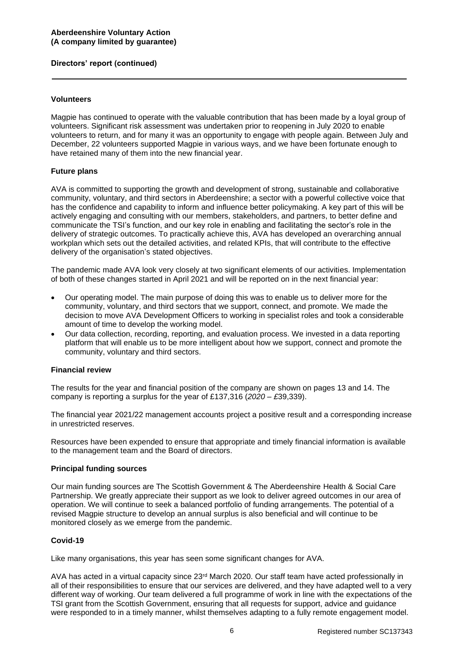### **Volunteers**

Magpie has continued to operate with the valuable contribution that has been made by a loyal group of volunteers. Significant risk assessment was undertaken prior to reopening in July 2020 to enable volunteers to return, and for many it was an opportunity to engage with people again. Between July and December, 22 volunteers supported Magpie in various ways, and we have been fortunate enough to have retained many of them into the new financial year.

### **Future plans**

AVA is committed to supporting the growth and development of strong, sustainable and collaborative community, voluntary, and third sectors in Aberdeenshire; a sector with a powerful collective voice that has the confidence and capability to inform and influence better policymaking. A key part of this will be actively engaging and consulting with our members, stakeholders, and partners, to better define and communicate the TSI's function, and our key role in enabling and facilitating the sector's role in the delivery of strategic outcomes. To practically achieve this, AVA has developed an overarching annual workplan which sets out the detailed activities, and related KPIs, that will contribute to the effective delivery of the organisation's stated objectives.

The pandemic made AVA look very closely at two significant elements of our activities. Implementation of both of these changes started in April 2021 and will be reported on in the next financial year:

- Our operating model. The main purpose of doing this was to enable us to deliver more for the community, voluntary, and third sectors that we support, connect, and promote. We made the decision to move AVA Development Officers to working in specialist roles and took a considerable amount of time to develop the working model.
- Our data collection, recording, reporting, and evaluation process. We invested in a data reporting platform that will enable us to be more intelligent about how we support, connect and promote the community, voluntary and third sectors.

#### **Financial review**

The results for the year and financial position of the company are shown on pages 13 and 14. The company is reporting a surplus for the year of £137,316 (*2020 – £*39,339).

The financial year 2021/22 management accounts project a positive result and a corresponding increase in unrestricted reserves.

Resources have been expended to ensure that appropriate and timely financial information is available to the management team and the Board of directors.

#### **Principal funding sources**

Our main funding sources are The Scottish Government & The Aberdeenshire Health & Social Care Partnership. We greatly appreciate their support as we look to deliver agreed outcomes in our area of operation. We will continue to seek a balanced portfolio of funding arrangements. The potential of a revised Magpie structure to develop an annual surplus is also beneficial and will continue to be monitored closely as we emerge from the pandemic.

## **Covid-19**

Like many organisations, this year has seen some significant changes for AVA.

AVA has acted in a virtual capacity since 23rd March 2020. Our staff team have acted professionally in all of their responsibilities to ensure that our services are delivered, and they have adapted well to a very different way of working. Our team delivered a full programme of work in line with the expectations of the TSI grant from the Scottish Government, ensuring that all requests for support, advice and guidance were responded to in a timely manner, whilst themselves adapting to a fully remote engagement model.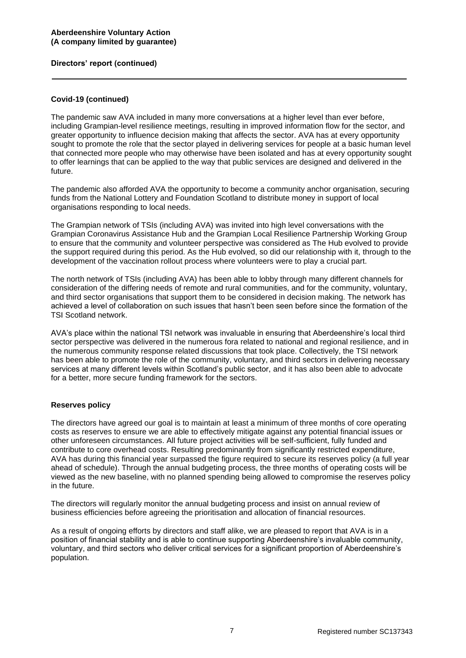## **Covid-19 (continued)**

The pandemic saw AVA included in many more conversations at a higher level than ever before, including Grampian-level resilience meetings, resulting in improved information flow for the sector, and greater opportunity to influence decision making that affects the sector. AVA has at every opportunity sought to promote the role that the sector played in delivering services for people at a basic human level that connected more people who may otherwise have been isolated and has at every opportunity sought to offer learnings that can be applied to the way that public services are designed and delivered in the future.

The pandemic also afforded AVA the opportunity to become a community anchor organisation, securing funds from the National Lottery and Foundation Scotland to distribute money in support of local organisations responding to local needs.

The Grampian network of TSIs (including AVA) was invited into high level conversations with the Grampian Coronavirus Assistance Hub and the Grampian Local Resilience Partnership Working Group to ensure that the community and volunteer perspective was considered as The Hub evolved to provide the support required during this period. As the Hub evolved, so did our relationship with it, through to the development of the vaccination rollout process where volunteers were to play a crucial part.

The north network of TSIs (including AVA) has been able to lobby through many different channels for consideration of the differing needs of remote and rural communities, and for the community, voluntary, and third sector organisations that support them to be considered in decision making. The network has achieved a level of collaboration on such issues that hasn't been seen before since the formation of the TSI Scotland network.

AVA's place within the national TSI network was invaluable in ensuring that Aberdeenshire's local third sector perspective was delivered in the numerous fora related to national and regional resilience, and in the numerous community response related discussions that took place. Collectively, the TSI network has been able to promote the role of the community, voluntary, and third sectors in delivering necessary services at many different levels within Scotland's public sector, and it has also been able to advocate for a better, more secure funding framework for the sectors.

#### **Reserves policy**

The directors have agreed our goal is to maintain at least a minimum of three months of core operating costs as reserves to ensure we are able to effectively mitigate against any potential financial issues or other unforeseen circumstances. All future project activities will be self-sufficient, fully funded and contribute to core overhead costs. Resulting predominantly from significantly restricted expenditure, AVA has during this financial year surpassed the figure required to secure its reserves policy (a full year ahead of schedule). Through the annual budgeting process, the three months of operating costs will be viewed as the new baseline, with no planned spending being allowed to compromise the reserves policy in the future.

The directors will regularly monitor the annual budgeting process and insist on annual review of business efficiencies before agreeing the prioritisation and allocation of financial resources.

As a result of ongoing efforts by directors and staff alike, we are pleased to report that AVA is in a position of financial stability and is able to continue supporting Aberdeenshire's invaluable community, voluntary, and third sectors who deliver critical services for a significant proportion of Aberdeenshire's population.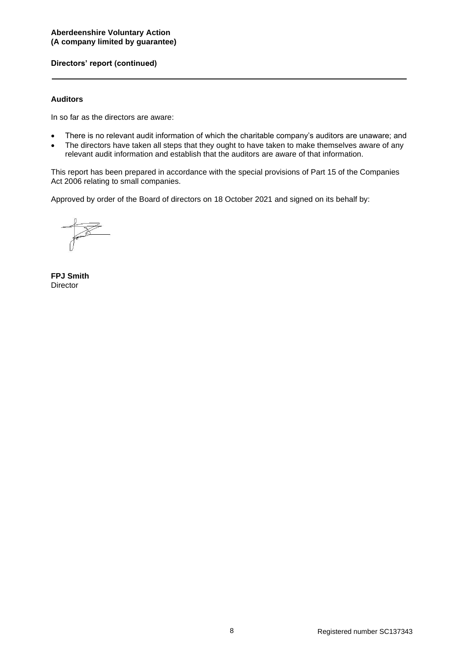### **Auditors**

In so far as the directors are aware:

- There is no relevant audit information of which the charitable company's auditors are unaware; and
- The directors have taken all steps that they ought to have taken to make themselves aware of any relevant audit information and establish that the auditors are aware of that information.

This report has been prepared in accordance with the special provisions of Part 15 of the Companies Act 2006 relating to small companies.

Approved by order of the Board of directors on 18 October 2021 and signed on its behalf by:

**FPJ Smith Director**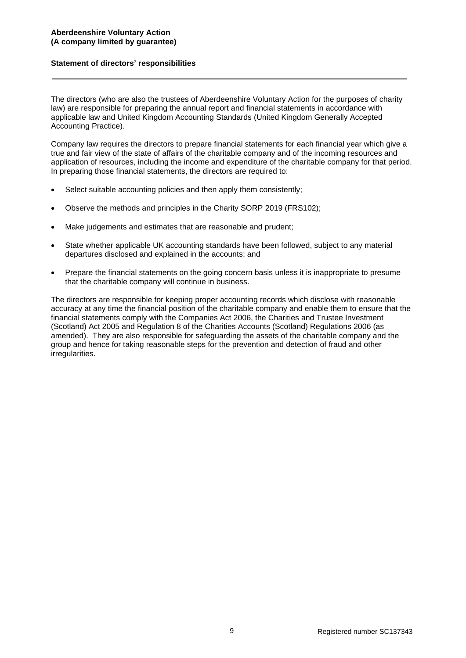### **Statement of directors' responsibilities**

The directors (who are also the trustees of Aberdeenshire Voluntary Action for the purposes of charity law) are responsible for preparing the annual report and financial statements in accordance with applicable law and United Kingdom Accounting Standards (United Kingdom Generally Accepted Accounting Practice).

Company law requires the directors to prepare financial statements for each financial year which give a true and fair view of the state of affairs of the charitable company and of the incoming resources and application of resources, including the income and expenditure of the charitable company for that period. In preparing those financial statements, the directors are required to:

- Select suitable accounting policies and then apply them consistently;
- Observe the methods and principles in the Charity SORP 2019 (FRS102);
- Make judgements and estimates that are reasonable and prudent;
- State whether applicable UK accounting standards have been followed, subject to any material departures disclosed and explained in the accounts; and
- Prepare the financial statements on the going concern basis unless it is inappropriate to presume that the charitable company will continue in business.

The directors are responsible for keeping proper accounting records which disclose with reasonable accuracy at any time the financial position of the charitable company and enable them to ensure that the financial statements comply with the Companies Act 2006, the Charities and Trustee Investment (Scotland) Act 2005 and Regulation 8 of the Charities Accounts (Scotland) Regulations 2006 (as amended). They are also responsible for safeguarding the assets of the charitable company and the group and hence for taking reasonable steps for the prevention and detection of fraud and other irregularities.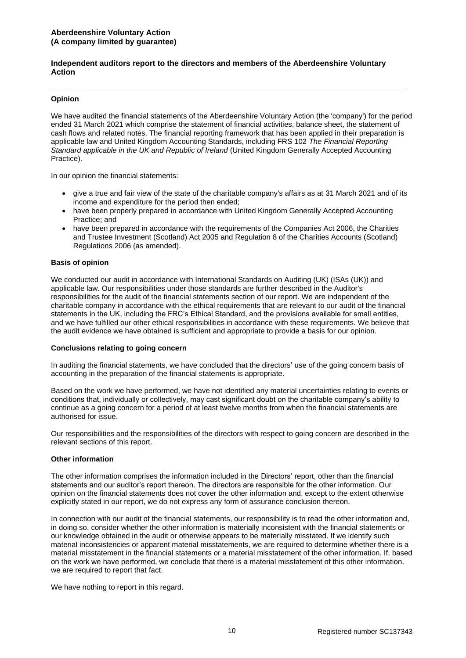#### **Independent auditors report to the directors and members of the Aberdeenshire Voluntary Action**

### **Opinion**

We have audited the financial statements of the Aberdeenshire Voluntary Action (the 'company') for the period ended 31 March 2021 which comprise the statement of financial activities, balance sheet, the statement of cash flows and related notes. The financial reporting framework that has been applied in their preparation is applicable law and United Kingdom Accounting Standards, including FRS 102 *The Financial Reporting Standard applicable in the UK and Republic of Ireland* (United Kingdom Generally Accepted Accounting Practice).

In our opinion the financial statements:

- give a true and fair view of the state of the charitable company's affairs as at 31 March 2021 and of its income and expenditure for the period then ended;
- have been properly prepared in accordance with United Kingdom Generally Accepted Accounting Practice; and
- have been prepared in accordance with the requirements of the Companies Act 2006, the Charities and Trustee Investment (Scotland) Act 2005 and Regulation 8 of the Charities Accounts (Scotland) Regulations 2006 (as amended).

#### **Basis of opinion**

We conducted our audit in accordance with International Standards on Auditing (UK) (ISAs (UK)) and applicable law. Our responsibilities under those standards are further described in the Auditor's responsibilities for the audit of the financial statements section of our report. We are independent of the charitable company in accordance with the ethical requirements that are relevant to our audit of the financial statements in the UK, including the FRC's Ethical Standard, and the provisions available for small entities, and we have fulfilled our other ethical responsibilities in accordance with these requirements. We believe that the audit evidence we have obtained is sufficient and appropriate to provide a basis for our opinion.

#### **Conclusions relating to going concern**

In auditing the financial statements, we have concluded that the directors' use of the going concern basis of accounting in the preparation of the financial statements is appropriate.

Based on the work we have performed, we have not identified any material uncertainties relating to events or conditions that, individually or collectively, may cast significant doubt on the charitable company's ability to continue as a going concern for a period of at least twelve months from when the financial statements are authorised for issue.

Our responsibilities and the responsibilities of the directors with respect to going concern are described in the relevant sections of this report.

#### **Other information**

The other information comprises the information included in the Directors' report, other than the financial statements and our auditor's report thereon. The directors are responsible for the other information. Our opinion on the financial statements does not cover the other information and, except to the extent otherwise explicitly stated in our report, we do not express any form of assurance conclusion thereon.

In connection with our audit of the financial statements, our responsibility is to read the other information and, in doing so, consider whether the other information is materially inconsistent with the financial statements or our knowledge obtained in the audit or otherwise appears to be materially misstated. If we identify such material inconsistencies or apparent material misstatements, we are required to determine whether there is a material misstatement in the financial statements or a material misstatement of the other information. If, based on the work we have performed, we conclude that there is a material misstatement of this other information, we are required to report that fact.

We have nothing to report in this regard.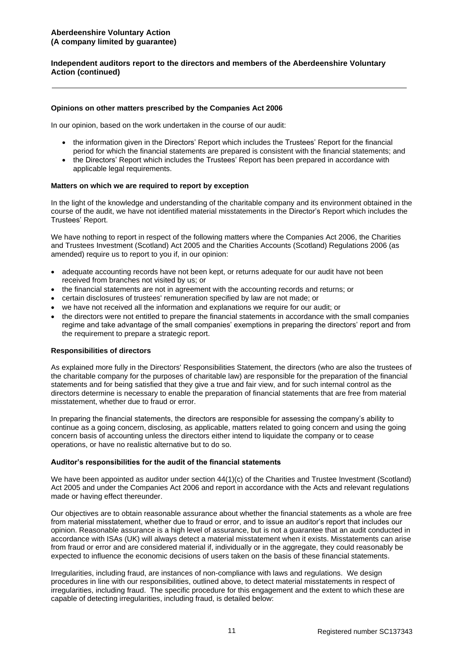### **Independent auditors report to the directors and members of the Aberdeenshire Voluntary Action (continued)**

#### **Opinions on other matters prescribed by the Companies Act 2006**

In our opinion, based on the work undertaken in the course of our audit:

- the information given in the Directors' Report which includes the Trustees' Report for the financial period for which the financial statements are prepared is consistent with the financial statements; and
- the Directors' Report which includes the Trustees' Report has been prepared in accordance with applicable legal requirements.

#### **Matters on which we are required to report by exception**

In the light of the knowledge and understanding of the charitable company and its environment obtained in the course of the audit, we have not identified material misstatements in the Director's Report which includes the Trustees' Report.

We have nothing to report in respect of the following matters where the Companies Act 2006, the Charities and Trustees Investment (Scotland) Act 2005 and the Charities Accounts (Scotland) Regulations 2006 (as amended) require us to report to you if, in our opinion:

- adequate accounting records have not been kept, or returns adequate for our audit have not been received from branches not visited by us; or
- the financial statements are not in agreement with the accounting records and returns; or
- certain disclosures of trustees' remuneration specified by law are not made; or
- we have not received all the information and explanations we require for our audit; or
- the directors were not entitled to prepare the financial statements in accordance with the small companies regime and take advantage of the small companies' exemptions in preparing the directors' report and from the requirement to prepare a strategic report.

#### **Responsibilities of directors**

As explained more fully in the Directors' Responsibilities Statement, the directors (who are also the trustees of the charitable company for the purposes of charitable law) are responsible for the preparation of the financial statements and for being satisfied that they give a true and fair view, and for such internal control as the directors determine is necessary to enable the preparation of financial statements that are free from material misstatement, whether due to fraud or error.

In preparing the financial statements, the directors are responsible for assessing the company's ability to continue as a going concern, disclosing, as applicable, matters related to going concern and using the going concern basis of accounting unless the directors either intend to liquidate the company or to cease operations, or have no realistic alternative but to do so.

#### **Auditor's responsibilities for the audit of the financial statements**

We have been appointed as auditor under section 44(1)(c) of the Charities and Trustee Investment (Scotland) Act 2005 and under the Companies Act 2006 and report in accordance with the Acts and relevant regulations made or having effect thereunder.

Our objectives are to obtain reasonable assurance about whether the financial statements as a whole are free from material misstatement, whether due to fraud or error, and to issue an auditor's report that includes our opinion. Reasonable assurance is a high level of assurance, but is not a guarantee that an audit conducted in accordance with ISAs (UK) will always detect a material misstatement when it exists. Misstatements can arise from fraud or error and are considered material if, individually or in the aggregate, they could reasonably be expected to influence the economic decisions of users taken on the basis of these financial statements.

Irregularities, including fraud, are instances of non-compliance with laws and regulations. We design procedures in line with our responsibilities, outlined above, to detect material misstatements in respect of irregularities, including fraud. The specific procedure for this engagement and the extent to which these are capable of detecting irregularities, including fraud, is detailed below: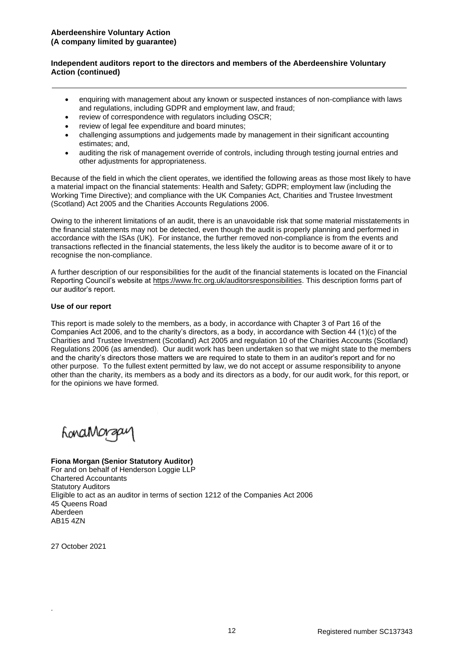## **Independent auditors report to the directors and members of the Aberdeenshire Voluntary Action (continued)**

- enquiring with management about any known or suspected instances of non-compliance with laws and regulations, including GDPR and employment law, and fraud;
- review of correspondence with regulators including OSCR:
- review of legal fee expenditure and board minutes;
- challenging assumptions and judgements made by management in their significant accounting estimates; and,
- auditing the risk of management override of controls, including through testing journal entries and other adjustments for appropriateness.

Because of the field in which the client operates, we identified the following areas as those most likely to have a material impact on the financial statements: Health and Safety; GDPR; employment law (including the Working Time Directive); and compliance with the UK Companies Act, Charities and Trustee Investment (Scotland) Act 2005 and the Charities Accounts Regulations 2006.

Owing to the inherent limitations of an audit, there is an unavoidable risk that some material misstatements in the financial statements may not be detected, even though the audit is properly planning and performed in accordance with the ISAs (UK). For instance, the further removed non-compliance is from the events and transactions reflected in the financial statements, the less likely the auditor is to become aware of it or to recognise the non-compliance.

A further description of our responsibilities for the audit of the financial statements is located on the Financial Reporting Council's website at [https://www.frc.org.uk/auditorsresponsibilities.](https://www.frc.org.uk/auditorsresponsibilities) This description forms part of our auditor's report.

### **Use of our report**

This report is made solely to the members, as a body, in accordance with Chapter 3 of Part 16 of the Companies Act 2006, and to the charity's directors, as a body, in accordance with Section 44 (1)(c) of the Charities and Trustee Investment (Scotland) Act 2005 and regulation 10 of the Charities Accounts (Scotland) Regulations 2006 (as amended). Our audit work has been undertaken so that we might state to the members and the charity's directors those matters we are required to state to them in an auditor's report and for no other purpose. To the fullest extent permitted by law, we do not accept or assume responsibility to anyone other than the charity, its members as a body and its directors as a body, for our audit work, for this report, or for the opinions we have formed.

honaMorgay

# **Fiona Morgan (Senior Statutory Auditor)**

For and on behalf of Henderson Loggie LLP Chartered Accountants Statutory Auditors Eligible to act as an auditor in terms of section 1212 of the Companies Act 2006 45 Queens Road Aberdeen AB15 4ZN

27 October 2021

.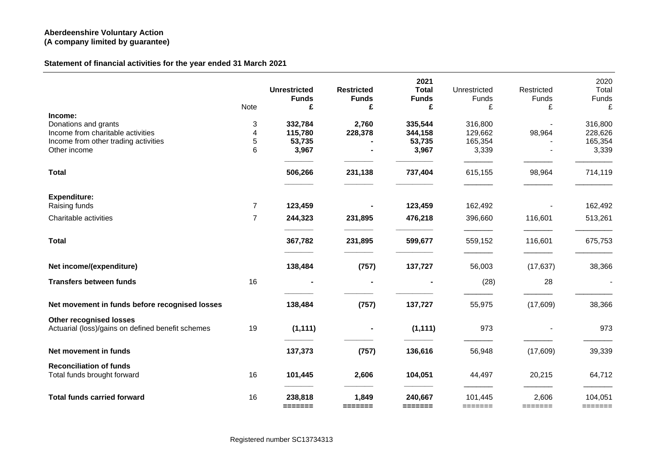# **Statement of financial activities for the year ended 31 March 2021**

|                                                               |                | <b>Unrestricted</b> | <b>Restricted</b> | 2021<br><b>Total</b>               | Unrestricted                           | Restricted       | 2020<br>Total      |
|---------------------------------------------------------------|----------------|---------------------|-------------------|------------------------------------|----------------------------------------|------------------|--------------------|
|                                                               |                | <b>Funds</b>        | <b>Funds</b>      | <b>Funds</b>                       | <b>Funds</b>                           | Funds            | Funds              |
|                                                               | Note           | £                   | £                 | £                                  | £                                      | £                | £                  |
| Income:<br>Donations and grants                               | 3              | 332,784             | 2,760             | 335,544                            | 316,800                                |                  | 316,800            |
| Income from charitable activities                             | 4              | 115,780             | 228,378           | 344,158                            | 129,662                                | 98,964           | 228,626            |
| Income from other trading activities                          | 5              | 53,735              |                   | 53,735                             | 165,354                                |                  | 165,354            |
| Other income                                                  | 6              | 3,967               |                   | 3,967                              | 3,339                                  |                  | 3,339              |
| <b>Total</b>                                                  |                | 506,266             | 231,138           | 737,404                            | 615,155                                | 98,964           | 714,119            |
| <b>Expenditure:</b>                                           |                |                     |                   |                                    |                                        |                  |                    |
| Raising funds                                                 | $\overline{7}$ | 123,459             |                   | 123,459                            | 162,492                                |                  | 162,492            |
| Charitable activities                                         | $\overline{7}$ | 244,323             | 231,895           | 476,218                            | 396,660                                | 116,601          | 513,261            |
| <b>Total</b>                                                  |                | 367,782             | 231,895           | 599,677                            | 559,152                                | 116,601          | 675,753            |
| Net income/(expenditure)                                      |                | 138,484             | (757)             | 137,727                            | 56,003                                 | (17, 637)        | 38,366             |
| <b>Transfers between funds</b>                                | 16             |                     |                   |                                    | (28)                                   | 28               |                    |
| Net movement in funds before recognised losses                |                | 138,484             | (757)             | 137,727                            | 55,975                                 | (17,609)         | 38,366             |
| <b>Other recognised losses</b>                                |                |                     |                   |                                    |                                        |                  |                    |
| Actuarial (loss)/gains on defined benefit schemes             | 19             | (1, 111)            |                   | (1, 111)                           | 973                                    |                  | 973                |
| Net movement in funds                                         |                | 137,373             | (757)             | 136,616                            | 56,948                                 | (17,609)         | 39,339             |
| <b>Reconciliation of funds</b><br>Total funds brought forward | 16             | 101,445             | 2,606             | 104,051                            | 44,497                                 | 20,215           | 64,712             |
| <b>Total funds carried forward</b>                            | 16             | 238,818<br>=======  | 1,849<br>=======  | 240,667<br>$=$ $=$ $=$ $=$ $=$ $=$ | 101,445<br>$=$ $=$ $=$ $=$ $=$ $=$ $=$ | 2,606<br>======= | 104,051<br>======= |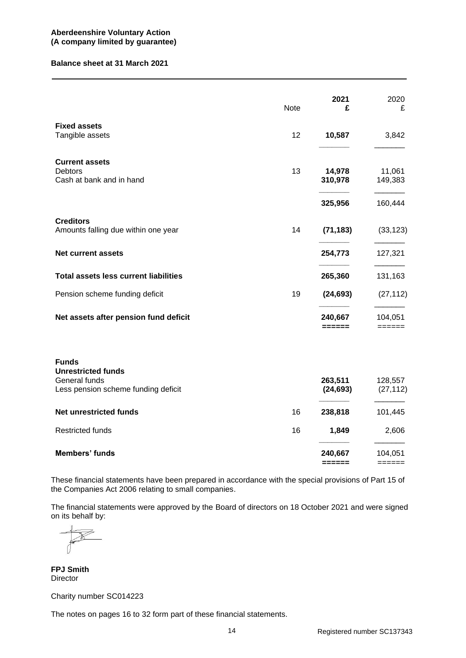#### **Balance sheet at 31 March 2021**

|                                                                                                   | <b>Note</b> | 2021<br>£                      | 2020<br>£                              |
|---------------------------------------------------------------------------------------------------|-------------|--------------------------------|----------------------------------------|
| <b>Fixed assets</b><br>Tangible assets                                                            | 12          | 10,587                         | 3,842                                  |
| <b>Current assets</b><br><b>Debtors</b><br>Cash at bank and in hand                               | 13          | 14,978<br>310,978              | 11,061<br>149,383                      |
|                                                                                                   |             | 325,956                        | 160,444                                |
| <b>Creditors</b><br>Amounts falling due within one year                                           | 14          | (71, 183)                      | (33, 123)                              |
| <b>Net current assets</b>                                                                         |             | 254,773                        | 127,321                                |
| <b>Total assets less current liabilities</b>                                                      |             | 265,360                        | 131,163                                |
| Pension scheme funding deficit                                                                    | 19          | (24, 693)                      | (27, 112)                              |
| Net assets after pension fund deficit                                                             |             | 240,667<br>======              | 104,051<br>$=$ $=$ $=$ $=$ $=$ $=$     |
| <b>Funds</b><br><b>Unrestricted funds</b><br>General funds<br>Less pension scheme funding deficit |             | 263,511<br>(24, 693)           | 128,557<br>(27, 112)                   |
| <b>Net unrestricted funds</b>                                                                     | 16          | 238,818                        | 101,445                                |
| <b>Restricted funds</b>                                                                           | 16          | 1,849                          | 2,606                                  |
| <b>Members' funds</b>                                                                             |             | 240,667<br>$=$ $=$ $=$ $=$ $=$ | 104,051<br>$=$ $=$ $=$ $=$ $=$ $=$ $=$ |

These financial statements have been prepared in accordance with the special provisions of Part 15 of the Companies Act 2006 relating to small companies.

The financial statements were approved by the Board of directors on 18 October 2021 and were signed on its behalf by:

**FPJ Smith** Director

Charity number SC014223

The notes on pages 16 to 32 form part of these financial statements.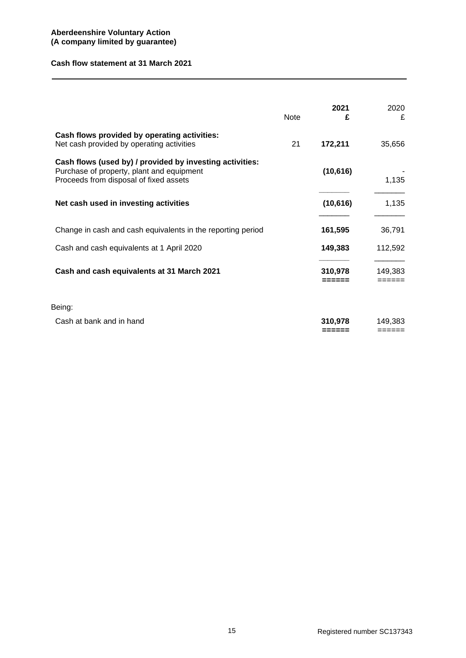### **Cash flow statement at 31 March 2021**

|                                                                                                                                                 | Note | 2021<br>£         | 2020<br>£         |
|-------------------------------------------------------------------------------------------------------------------------------------------------|------|-------------------|-------------------|
| Cash flows provided by operating activities:<br>Net cash provided by operating activities                                                       | 21   | 172,211           | 35,656            |
| Cash flows (used by) / provided by investing activities:<br>Purchase of property, plant and equipment<br>Proceeds from disposal of fixed assets |      | (10, 616)         | 1,135             |
| Net cash used in investing activities                                                                                                           |      | (10, 616)         | 1,135             |
| Change in cash and cash equivalents in the reporting period                                                                                     |      | 161,595           | 36,791            |
| Cash and cash equivalents at 1 April 2020                                                                                                       |      | 149,383           | 112,592           |
| Cash and cash equivalents at 31 March 2021                                                                                                      |      | 310,978<br>====== | 149,383<br>====== |
| Being:                                                                                                                                          |      |                   |                   |
| Cash at bank and in hand                                                                                                                        |      | 310,978<br>====== | 149.383<br>====== |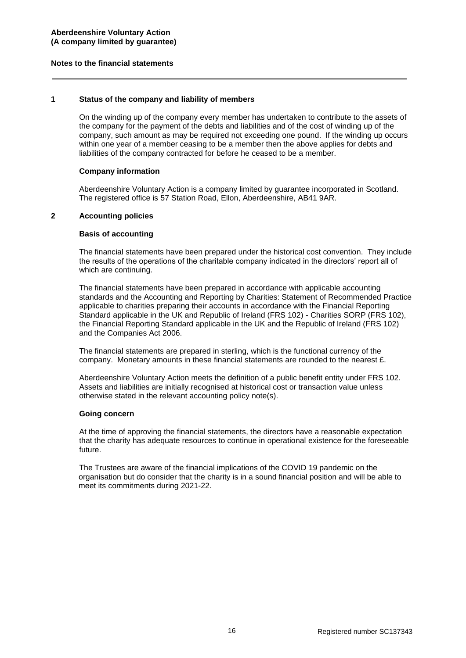### **Notes to the financial statements**

## **1 Status of the company and liability of members**

On the winding up of the company every member has undertaken to contribute to the assets of the company for the payment of the debts and liabilities and of the cost of winding up of the company, such amount as may be required not exceeding one pound. If the winding up occurs within one year of a member ceasing to be a member then the above applies for debts and liabilities of the company contracted for before he ceased to be a member.

### **Company information**

Aberdeenshire Voluntary Action is a company limited by guarantee incorporated in Scotland. The registered office is 57 Station Road, Ellon, Aberdeenshire, AB41 9AR.

### **2 Accounting policies**

#### **Basis of accounting**

The financial statements have been prepared under the historical cost convention. They include the results of the operations of the charitable company indicated in the directors' report all of which are continuing.

The financial statements have been prepared in accordance with applicable accounting standards and the Accounting and Reporting by Charities: Statement of Recommended Practice applicable to charities preparing their accounts in accordance with the Financial Reporting Standard applicable in the UK and Republic of Ireland (FRS 102) - Charities SORP (FRS 102), the Financial Reporting Standard applicable in the UK and the Republic of Ireland (FRS 102) and the Companies Act 2006.

The financial statements are prepared in sterling, which is the functional currency of the company. Monetary amounts in these financial statements are rounded to the nearest £.

Aberdeenshire Voluntary Action meets the definition of a public benefit entity under FRS 102. Assets and liabilities are initially recognised at historical cost or transaction value unless otherwise stated in the relevant accounting policy note(s).

#### **Going concern**

At the time of approving the financial statements, the directors have a reasonable expectation that the charity has adequate resources to continue in operational existence for the foreseeable future.

The Trustees are aware of the financial implications of the COVID 19 pandemic on the organisation but do consider that the charity is in a sound financial position and will be able to meet its commitments during 2021-22.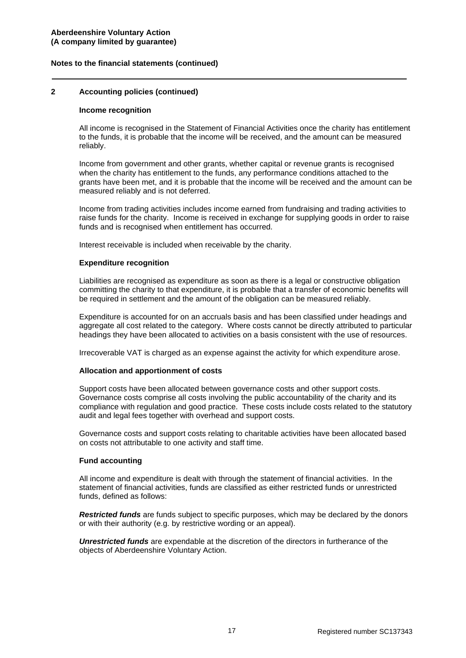### **2 Accounting policies (continued)**

#### **Income recognition**

All income is recognised in the Statement of Financial Activities once the charity has entitlement to the funds, it is probable that the income will be received, and the amount can be measured reliably.

Income from government and other grants, whether capital or revenue grants is recognised when the charity has entitlement to the funds, any performance conditions attached to the grants have been met, and it is probable that the income will be received and the amount can be measured reliably and is not deferred.

Income from trading activities includes income earned from fundraising and trading activities to raise funds for the charity. Income is received in exchange for supplying goods in order to raise funds and is recognised when entitlement has occurred.

Interest receivable is included when receivable by the charity.

#### **Expenditure recognition**

Liabilities are recognised as expenditure as soon as there is a legal or constructive obligation committing the charity to that expenditure, it is probable that a transfer of economic benefits will be required in settlement and the amount of the obligation can be measured reliably.

Expenditure is accounted for on an accruals basis and has been classified under headings and aggregate all cost related to the category. Where costs cannot be directly attributed to particular headings they have been allocated to activities on a basis consistent with the use of resources.

Irrecoverable VAT is charged as an expense against the activity for which expenditure arose.

#### **Allocation and apportionment of costs**

Support costs have been allocated between governance costs and other support costs. Governance costs comprise all costs involving the public accountability of the charity and its compliance with regulation and good practice. These costs include costs related to the statutory audit and legal fees together with overhead and support costs.

Governance costs and support costs relating to charitable activities have been allocated based on costs not attributable to one activity and staff time.

### **Fund accounting**

All income and expenditure is dealt with through the statement of financial activities. In the statement of financial activities, funds are classified as either restricted funds or unrestricted funds, defined as follows:

*Restricted funds* are funds subject to specific purposes, which may be declared by the donors or with their authority (e.g. by restrictive wording or an appeal).

*Unrestricted funds* are expendable at the discretion of the directors in furtherance of the objects of Aberdeenshire Voluntary Action.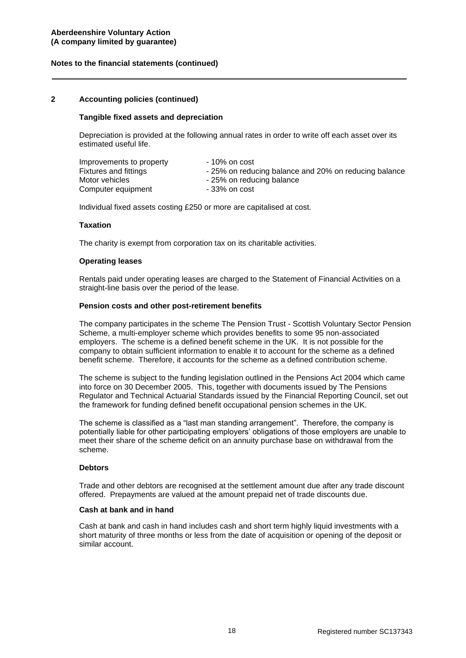### **2 Accounting policies (continued)**

#### **Tangible fixed assets and depreciation**

Depreciation is provided at the following annual rates in order to write off each asset over its estimated useful life.

| Improvements to property | - 10% on cost                                         |
|--------------------------|-------------------------------------------------------|
| Fixtures and fittings    | - 25% on reducing balance and 20% on reducing balance |
| Motor vehicles           | - 25% on reducing balance                             |
| Computer equipment       | - 33% on cost                                         |

Individual fixed assets costing £250 or more are capitalised at cost.

#### **Taxation**

The charity is exempt from corporation tax on its charitable activities.

#### **Operating leases**

Rentals paid under operating leases are charged to the Statement of Financial Activities on a straight-line basis over the period of the lease.

#### **Pension costs and other post-retirement benefits**

The company participates in the scheme The Pension Trust - Scottish Voluntary Sector Pension Scheme, a multi-employer scheme which provides benefits to some 95 non-associated employers. The scheme is a defined benefit scheme in the UK. It is not possible for the company to obtain sufficient information to enable it to account for the scheme as a defined benefit scheme. Therefore, it accounts for the scheme as a defined contribution scheme.

The scheme is subject to the funding legislation outlined in the Pensions Act 2004 which came into force on 30 December 2005. This, together with documents issued by The Pensions Regulator and Technical Actuarial Standards issued by the Financial Reporting Council, set out the framework for funding defined benefit occupational pension schemes in the UK.

The scheme is classified as a "last man standing arrangement". Therefore, the company is potentially liable for other participating employers' obligations of those employers are unable to meet their share of the scheme deficit on an annuity purchase base on withdrawal from the scheme.

#### **Debtors**

Trade and other debtors are recognised at the settlement amount due after any trade discount offered. Prepayments are valued at the amount prepaid net of trade discounts due.

#### **Cash at bank and in hand**

Cash at bank and cash in hand includes cash and short term highly liquid investments with a short maturity of three months or less from the date of acquisition or opening of the deposit or similar account.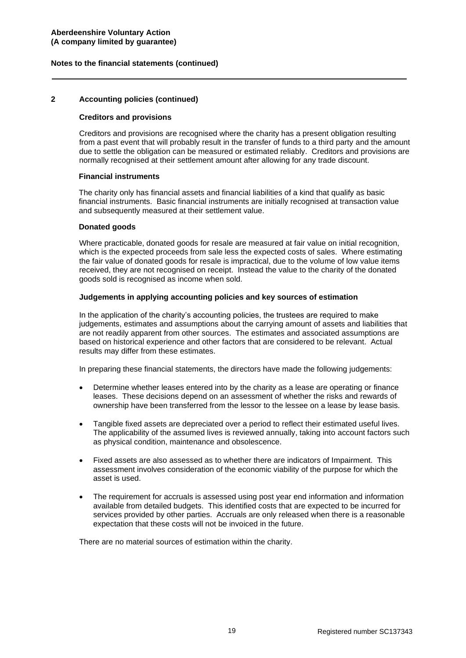### **2 Accounting policies (continued)**

#### **Creditors and provisions**

Creditors and provisions are recognised where the charity has a present obligation resulting from a past event that will probably result in the transfer of funds to a third party and the amount due to settle the obligation can be measured or estimated reliably. Creditors and provisions are normally recognised at their settlement amount after allowing for any trade discount.

#### **Financial instruments**

The charity only has financial assets and financial liabilities of a kind that qualify as basic financial instruments. Basic financial instruments are initially recognised at transaction value and subsequently measured at their settlement value.

#### **Donated goods**

Where practicable, donated goods for resale are measured at fair value on initial recognition, which is the expected proceeds from sale less the expected costs of sales. Where estimating the fair value of donated goods for resale is impractical, due to the volume of low value items received, they are not recognised on receipt. Instead the value to the charity of the donated goods sold is recognised as income when sold.

#### **Judgements in applying accounting policies and key sources of estimation**

In the application of the charity's accounting policies, the trustees are required to make judgements, estimates and assumptions about the carrying amount of assets and liabilities that are not readily apparent from other sources. The estimates and associated assumptions are based on historical experience and other factors that are considered to be relevant. Actual results may differ from these estimates.

In preparing these financial statements, the directors have made the following judgements:

- Determine whether leases entered into by the charity as a lease are operating or finance leases. These decisions depend on an assessment of whether the risks and rewards of ownership have been transferred from the lessor to the lessee on a lease by lease basis.
- Tangible fixed assets are depreciated over a period to reflect their estimated useful lives. The applicability of the assumed lives is reviewed annually, taking into account factors such as physical condition, maintenance and obsolescence.
- Fixed assets are also assessed as to whether there are indicators of Impairment. This assessment involves consideration of the economic viability of the purpose for which the asset is used.
- The requirement for accruals is assessed using post year end information and information available from detailed budgets. This identified costs that are expected to be incurred for services provided by other parties. Accruals are only released when there is a reasonable expectation that these costs will not be invoiced in the future.

There are no material sources of estimation within the charity.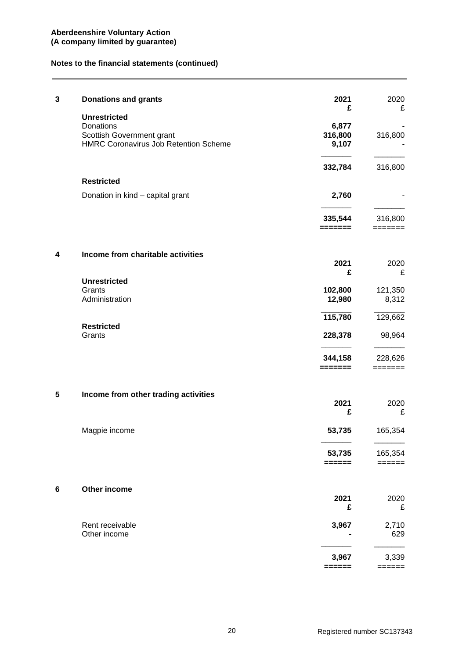| 3 | <b>Donations and grants</b>                                   | 2021                  | 2020                                   |
|---|---------------------------------------------------------------|-----------------------|----------------------------------------|
|   | <b>Unrestricted</b><br>Donations<br>Scottish Government grant | £<br>6,877<br>316,800 | £<br>316,800                           |
|   | <b>HMRC Coronavirus Job Retention Scheme</b>                  | 9,107                 |                                        |
|   | <b>Restricted</b>                                             | 332,784               | 316,800                                |
|   | Donation in kind - capital grant                              | 2,760                 |                                        |
|   |                                                               | 335,544<br>=======    | 316,800<br>=======                     |
| 4 | Income from charitable activities                             | 2021                  | 2020                                   |
|   | <b>Unrestricted</b>                                           | £                     | £                                      |
|   | Grants<br>Administration                                      | 102,800<br>12,980     | 121,350<br>8,312                       |
|   | <b>Restricted</b>                                             | 115,780               | 129,662                                |
|   | Grants                                                        | 228,378               | 98,964                                 |
|   |                                                               | 344,158<br>=======    | 228,626<br>$=$ $=$ $=$ $=$ $=$ $=$ $=$ |
| 5 | Income from other trading activities                          | 2021                  | 2020                                   |
|   |                                                               | £                     | £                                      |
|   | Magpie income                                                 | 53,735                | 165,354                                |
|   |                                                               | 53,735<br>======      | 165,354<br>======                      |
| 6 | Other income                                                  | 2021                  | 2020                                   |
|   |                                                               | £                     | £                                      |
|   | Rent receivable<br>Other income                               | 3,967                 | 2,710<br>629                           |
|   |                                                               | 3,967<br>======       | 3,339<br>======                        |
|   |                                                               |                       |                                        |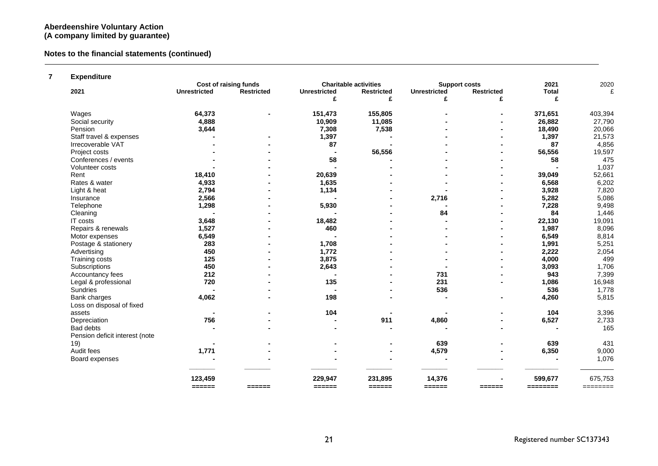## **Notes to the financial statements (continued)**

## **7 Expenditure**

|                                |                         | Cost of raising funds   |                     | <b>Charitable activities</b> | <b>Support costs</b>    |                   | 2021         | 2020                        |
|--------------------------------|-------------------------|-------------------------|---------------------|------------------------------|-------------------------|-------------------|--------------|-----------------------------|
| 2021                           | <b>Unrestricted</b>     | <b>Restricted</b>       | <b>Unrestricted</b> | <b>Restricted</b>            | <b>Unrestricted</b>     | <b>Restricted</b> | <b>Total</b> | £                           |
|                                |                         |                         | £                   | £                            | £                       | £                 | £            |                             |
| Wages                          | 64,373                  |                         | 151,473             | 155,805                      |                         |                   | 371,651      | 403,394                     |
| Social security                | 4,888                   |                         | 10,909              | 11,085                       |                         |                   | 26,882       | 27,790                      |
| Pension                        | 3,644                   |                         | 7,308               | 7,538                        |                         |                   | 18,490       | 20,066                      |
| Staff travel & expenses        |                         |                         | 1,397               |                              |                         |                   | 1,397        | 21,573                      |
| Irrecoverable VAT              |                         |                         | 87                  |                              |                         |                   | 87           | 4,856                       |
| Project costs                  |                         |                         |                     | 56,556                       |                         |                   | 56,556       | 19,597                      |
| Conferences / events           |                         |                         | 58                  |                              |                         |                   | 58           | 475                         |
| Volunteer costs                |                         |                         |                     |                              |                         |                   |              | 1,037                       |
| Rent                           | 18,410                  |                         | 20,639              |                              |                         |                   | 39,049       | 52,661                      |
| Rates & water                  | 4,933                   |                         | 1,635               |                              |                         |                   | 6,568        | 6,202                       |
| Light & heat                   | 2,794                   |                         | 1,134               |                              |                         |                   | 3,928        | 7,820                       |
| Insurance                      | 2,566                   |                         |                     |                              | 2,716                   |                   | 5,282        | 5,086                       |
| Telephone                      | 1,298                   |                         | 5,930               |                              |                         |                   | 7,228        | 9,498                       |
| Cleaning                       |                         |                         |                     |                              | 84                      |                   | 84           | 1,446                       |
| IT costs                       | 3,648                   |                         | 18,482              |                              |                         |                   | 22,130       | 19,091                      |
| Repairs & renewals             | 1,527                   |                         | 460                 |                              |                         |                   | 1,987        | 8,096                       |
| Motor expenses                 | 6,549                   |                         |                     |                              |                         |                   | 6,549        | 8,814                       |
| Postage & stationery           | 283                     |                         | 1,708               |                              |                         |                   | 1,991        | 5,251                       |
| Advertising                    | 450                     |                         | 1,772               |                              |                         |                   | 2,222        | 2,054                       |
| Training costs                 | 125                     |                         | 3,875               |                              |                         |                   | 4,000        | 499                         |
| Subscriptions                  | 450                     |                         | 2,643               |                              |                         |                   | 3,093        | 1,706                       |
| Accountancy fees               | 212                     |                         |                     |                              | 731                     |                   | 943          | 7,399                       |
| Legal & professional           | 720                     |                         | 135                 |                              | 231                     |                   | 1,086        | 16,948                      |
| <b>Sundries</b>                |                         |                         |                     |                              | 536                     |                   | 536          | 1,778                       |
| Bank charges                   | 4,062                   |                         | 198                 |                              |                         |                   | 4,260        | 5,815                       |
| Loss on disposal of fixed      |                         |                         |                     |                              |                         |                   |              |                             |
| assets                         |                         |                         | 104                 |                              |                         |                   | 104          | 3,396                       |
| Depreciation                   | 756                     |                         |                     | 911                          | 4,860                   |                   | 6,527        | 2,733                       |
| Bad debts                      |                         |                         |                     |                              |                         |                   |              | 165                         |
| Pension deficit interest (note |                         |                         |                     |                              |                         |                   |              |                             |
| 19)                            |                         |                         |                     |                              | 639                     |                   | 639          | 431                         |
| Audit fees                     | 1,771                   |                         |                     |                              | 4,579                   |                   | 6,350        | 9,000                       |
| Board expenses                 |                         |                         |                     |                              |                         |                   |              | 1,076                       |
|                                | 123,459                 |                         | 229,947             | 231,895                      | 14,376                  |                   | 599,677      | 675,753                     |
|                                | $=$ $=$ $=$ $=$ $=$ $=$ | $=$ $=$ $=$ $=$ $=$ $=$ | ======              | $=$ $=$ $=$ $=$ $=$ $=$      | $=$ $=$ $=$ $=$ $=$ $=$ | ======            |              | $=$ $=$ $=$ $=$ $=$ $=$ $=$ |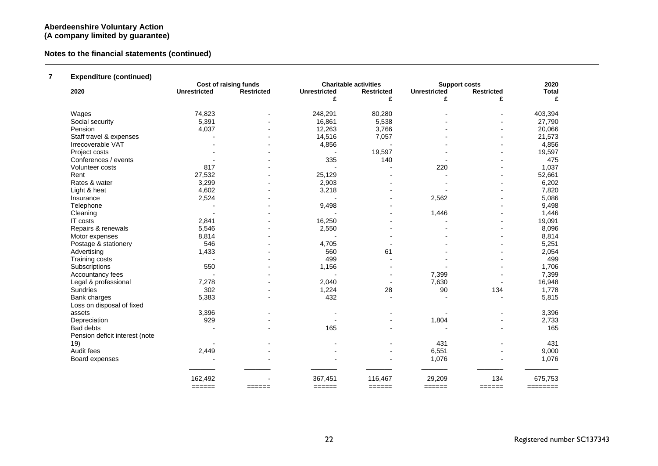## **Notes to the financial statements (continued)**

## **7 Expenditure (continued)**

|                                |                         | <b>Cost of raising funds</b> |                         | <b>Charitable activities</b> | <b>Support costs</b> |                         | 2020         |
|--------------------------------|-------------------------|------------------------------|-------------------------|------------------------------|----------------------|-------------------------|--------------|
| 2020                           | <b>Unrestricted</b>     | Restricted                   | <b>Unrestricted</b>     | <b>Restricted</b>            | <b>Unrestricted</b>  | <b>Restricted</b>       | <b>Total</b> |
|                                |                         |                              | £                       | £                            |                      | £                       | £            |
| Wages                          | 74,823                  |                              | 248,291                 | 80,280                       |                      |                         | 403,394      |
| Social security                | 5,391                   |                              | 16,861                  | 5,538                        |                      |                         | 27,790       |
| Pension                        | 4,037                   |                              | 12,263                  | 3,766                        |                      |                         | 20,066       |
| Staff travel & expenses        |                         |                              | 14,516                  | 7,057                        |                      |                         | 21,573       |
| Irrecoverable VAT              |                         |                              | 4,856                   |                              |                      |                         | 4,856        |
| Project costs                  |                         |                              |                         | 19,597                       |                      |                         | 19,597       |
| Conferences / events           |                         |                              | 335                     | 140                          |                      |                         | 475          |
| Volunteer costs                | 817                     |                              |                         |                              | 220                  |                         | 1,037        |
| Rent                           | 27,532                  |                              | 25,129                  |                              |                      |                         | 52,661       |
| Rates & water                  | 3,299                   |                              | 2,903                   |                              |                      |                         | 6,202        |
| Light & heat                   | 4,602                   |                              | 3,218                   |                              |                      |                         | 7,820        |
| Insurance                      | 2,524                   |                              |                         |                              | 2,562                |                         | 5,086        |
| Telephone                      |                         |                              | 9,498                   |                              |                      |                         | 9,498        |
| Cleaning                       |                         |                              |                         |                              | 1,446                |                         | 1,446        |
| <b>IT</b> costs                | 2,841                   |                              | 16,250                  |                              |                      |                         | 19,091       |
| Repairs & renewals             | 5,546                   |                              | 2,550                   |                              |                      |                         | 8,096        |
| Motor expenses                 | 8,814                   |                              |                         |                              |                      |                         | 8,814        |
| Postage & stationery           | 546                     |                              | 4,705                   |                              |                      |                         | 5,251        |
| Advertising                    | 1,433                   |                              | 560                     | 61                           |                      |                         | 2,054        |
| Training costs                 |                         |                              | 499                     |                              |                      |                         | 499          |
| Subscriptions                  | 550                     |                              | 1,156                   |                              |                      |                         | 1,706        |
| Accountancy fees               |                         |                              |                         |                              | 7,399                |                         | 7,399        |
| Legal & professional           | 7,278                   |                              | 2,040                   |                              | 7,630                |                         | 16,948       |
| Sundries                       | 302                     |                              | 1,224                   | 28                           | 90                   | 134                     | 1,778        |
| Bank charges                   | 5,383                   |                              | 432                     |                              |                      |                         | 5,815        |
| Loss on disposal of fixed      |                         |                              |                         |                              |                      |                         |              |
| assets                         | 3,396                   |                              |                         |                              |                      |                         | 3,396        |
| Depreciation                   | 929                     |                              |                         |                              | 1,804                |                         | 2,733        |
| Bad debts                      |                         |                              | 165                     |                              |                      |                         | 165          |
| Pension deficit interest (note |                         |                              |                         |                              |                      |                         |              |
| 19)                            |                         |                              |                         |                              | 431                  |                         | 431          |
| Audit fees                     | 2,449                   |                              |                         |                              | 6,551                |                         | 9,000        |
| Board expenses                 |                         |                              |                         |                              | 1,076                |                         | 1,076        |
|                                |                         |                              |                         |                              |                      |                         |              |
|                                | 162,492                 |                              | 367,451                 | 116,467                      | 29,209               | 134                     | 675,753      |
|                                | $=$ $=$ $=$ $=$ $=$ $=$ | $=$ $=$ $=$ $=$ $=$          | $=$ $=$ $=$ $=$ $=$ $=$ | ======                       | ======               | $=$ $=$ $=$ $=$ $=$ $=$ | ========     |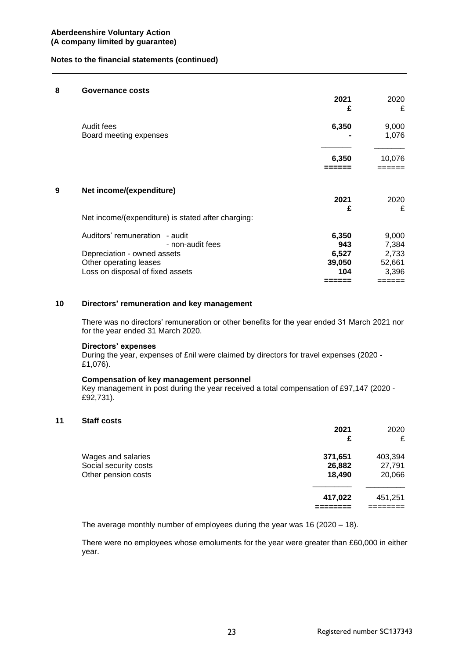#### **8 Governance costs**

|            |                                                    | 2021<br>£ | 2020<br>£ |
|------------|----------------------------------------------------|-----------|-----------|
| Audit fees |                                                    | 6,350     | 9,000     |
|            | Board meeting expenses                             |           | 1,076     |
|            |                                                    | 6,350     | 10,076    |
|            |                                                    |           |           |
| 9          | Net income/(expenditure)                           |           |           |
|            |                                                    | 2021<br>£ | 2020<br>£ |
|            | Net income/(expenditure) is stated after charging: |           |           |
|            | Auditors' remuneration - audit                     | 6,350     | 9,000     |
|            | - non-audit fees                                   | 943       | 7,384     |
|            | Depreciation - owned assets                        | 6,527     | 2,733     |
|            | Other operating leases                             | 39,050    | 52,661    |
|            | Loss on disposal of fixed assets                   | 104       | 3,396     |
|            |                                                    | -----     | :=====    |

## **10 Directors' remuneration and key management**

There was no directors' remuneration or other benefits for the year ended 31 March 2021 nor for the year ended 31 March 2020.

#### **Directors' expenses**

During the year, expenses of £nil were claimed by directors for travel expenses (2020 - £1,076).

#### **Compensation of key management personnel**

Key management in post during the year received a total compensation of £97,147 (2020 - £92,731).

#### **11 Staff costs**

|                                                                    | 2021<br>£                   | 2020<br>£                   |
|--------------------------------------------------------------------|-----------------------------|-----------------------------|
| Wages and salaries<br>Social security costs<br>Other pension costs | 371,651<br>26,882<br>18,490 | 403,394<br>27,791<br>20,066 |
|                                                                    | 417,022                     | 451,251                     |

The average monthly number of employees during the year was 16 (2020 – 18).

There were no employees whose emoluments for the year were greater than £60,000 in either year.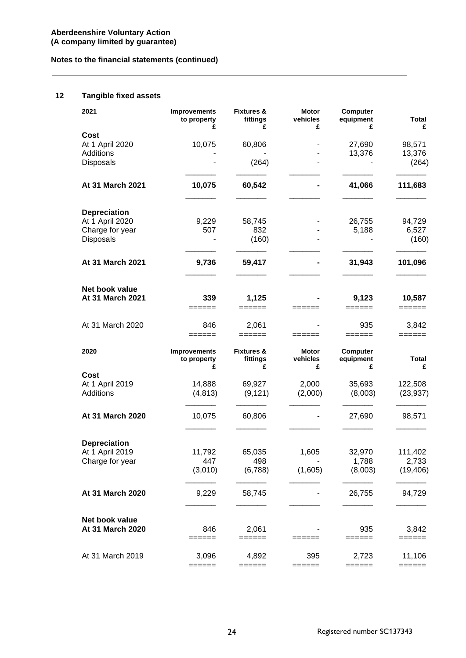# **12 Tangible fixed assets**

| 2021                | <b>Improvements</b><br>to property<br>£ | <b>Fixtures &amp;</b><br>fittings<br>£ | <b>Motor</b><br>vehicles<br>£ | Computer<br>equipment<br>£ | <b>Total</b><br>£ |
|---------------------|-----------------------------------------|----------------------------------------|-------------------------------|----------------------------|-------------------|
| Cost                |                                         |                                        |                               |                            |                   |
| At 1 April 2020     | 10,075                                  | 60,806                                 |                               | 27,690                     | 98,571            |
| Additions           |                                         |                                        |                               | 13,376                     | 13,376            |
|                     |                                         |                                        |                               |                            |                   |
| <b>Disposals</b>    |                                         | (264)                                  |                               |                            | (264)             |
| At 31 March 2021    | 10,075                                  | 60,542                                 |                               | 41,066                     | 111,683           |
| <b>Depreciation</b> |                                         |                                        |                               |                            |                   |
| At 1 April 2020     | 9,229                                   | 58,745                                 |                               | 26,755                     | 94,729            |
|                     |                                         |                                        |                               |                            |                   |
| Charge for year     | 507                                     | 832                                    |                               | 5,188                      | 6,527             |
| Disposals           |                                         | (160)                                  |                               |                            | (160)             |
| At 31 March 2021    | 9,736                                   | 59,417                                 |                               | 31,943                     | 101,096           |
|                     |                                         |                                        |                               |                            |                   |
| Net book value      |                                         |                                        |                               |                            |                   |
| At 31 March 2021    | 339<br>======                           | 1,125<br>======                        | ======                        | 9,123<br>======            | 10,587<br>======  |
| At 31 March 2020    |                                         |                                        |                               |                            |                   |
|                     | 846<br>$=$ $=$ $=$ $=$ $=$              | 2,061<br>======                        | $=$ $=$ $=$ $=$ $=$ $=$       | 935<br>======              | 3,842<br>======   |
| 2020                | Improvements                            | <b>Fixtures &amp;</b>                  | <b>Motor</b>                  | Computer                   |                   |
|                     | to property<br>£                        | fittings<br>£                          | vehicles<br>£                 | equipment<br>£             | Total<br>£        |
| Cost                |                                         |                                        |                               |                            |                   |
| At 1 April 2019     |                                         |                                        |                               |                            |                   |
|                     |                                         |                                        |                               |                            |                   |
|                     | 14,888                                  | 69,927                                 | 2,000                         | 35,693                     | 122,508           |
| Additions           | (4, 813)                                | (9, 121)                               | (2,000)                       | (8,003)                    |                   |
| At 31 March 2020    | 10,075                                  | 60,806                                 |                               | 27,690                     | 98,571            |
|                     |                                         |                                        |                               |                            | (23, 937)         |
|                     |                                         |                                        |                               |                            |                   |
| <b>Depreciation</b> |                                         |                                        |                               |                            |                   |
| At 1 April 2019     | 11,792                                  | 65,035                                 | 1,605                         | 32,970                     | 111,402           |
| Charge for year     | 447                                     | 498                                    |                               | 1,788                      | 2,733             |
|                     | (3,010)                                 | (6,788)                                | (1,605)                       | (8,003)                    |                   |
| At 31 March 2020    | 9,229                                   | 58,745                                 |                               | 26,755                     | 94,729            |
|                     |                                         |                                        |                               |                            |                   |
| Net book value      |                                         |                                        |                               |                            | (19, 406)         |
| At 31 March 2020    | 846                                     | 2,061                                  |                               | 935                        | 3,842             |
| At 31 March 2019    | ======<br>3,096                         | ======<br>4,892                        | ======<br>395                 | ======<br>2,723            | ======<br>11,106  |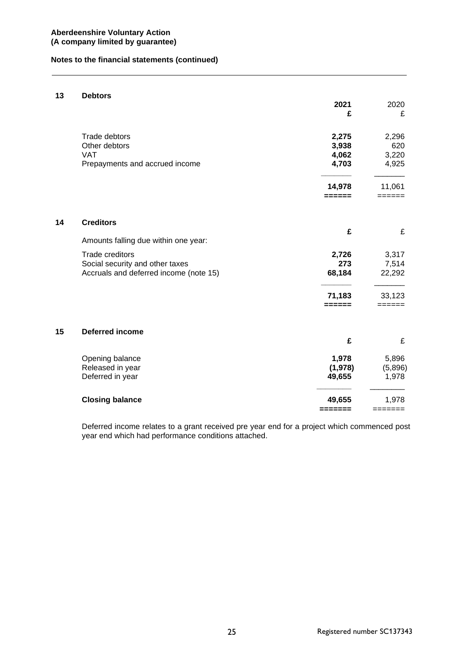## **13 Debtors**

|    |                                        | 2021<br>£ | 2020<br>£ |
|----|----------------------------------------|-----------|-----------|
|    |                                        |           |           |
|    | Trade debtors                          | 2,275     | 2,296     |
|    | Other debtors                          | 3,938     | 620       |
|    | <b>VAT</b>                             | 4,062     | 3,220     |
|    | Prepayments and accrued income         | 4,703     | 4,925     |
|    |                                        | 14,978    | 11,061    |
|    |                                        |           |           |
| 14 | <b>Creditors</b>                       |           |           |
|    |                                        | £         | £         |
|    | Amounts falling due within one year:   |           |           |
|    | <b>Trade creditors</b>                 | 2,726     | 3,317     |
|    | Social security and other taxes        | 273       | 7,514     |
|    | Accruals and deferred income (note 15) | 68,184    | 22,292    |
|    |                                        | 71,183    | 33,123    |
|    |                                        | ======    |           |
| 15 | <b>Deferred income</b>                 |           |           |
|    |                                        | £         | £         |
|    | Opening balance                        | 1,978     | 5,896     |
|    | Released in year                       | (1,978)   | (5,896)   |
|    | Deferred in year                       | 49,655    | 1,978     |
|    | <b>Closing balance</b>                 | 49,655    | 1,978     |
|    |                                        | =======   | =======   |

Deferred income relates to a grant received pre year end for a project which commenced post year end which had performance conditions attached.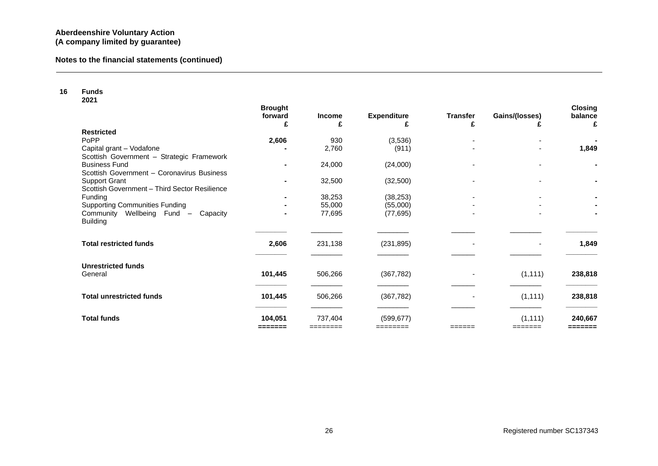| 16 | <b>Funds</b><br>2021                                                  |                                |                     |                         |                          |                     |                                |
|----|-----------------------------------------------------------------------|--------------------------------|---------------------|-------------------------|--------------------------|---------------------|--------------------------------|
|    |                                                                       | <b>Brought</b><br>forward<br>£ | <b>Income</b><br>£  | <b>Expenditure</b><br>£ | <b>Transfer</b><br>£     | Gains/(losses)      | <b>Closing</b><br>balance<br>£ |
|    | <b>Restricted</b>                                                     |                                |                     |                         |                          |                     |                                |
|    | PoPP                                                                  | 2,606                          | 930                 | (3,536)                 |                          |                     |                                |
|    | Capital grant - Vodafone<br>Scottish Government - Strategic Framework |                                | 2,760               | (911)                   |                          |                     | 1,849                          |
|    | <b>Business Fund</b><br>Scottish Government - Coronavirus Business    | $\blacksquare$                 | 24,000              | (24,000)                |                          |                     | ٠.                             |
|    | <b>Support Grant</b><br>Scottish Government - Third Sector Resilience | $\blacksquare$                 | 32,500              | (32,500)                | $\overline{\phantom{0}}$ |                     |                                |
|    | <b>Funding</b>                                                        | $\blacksquare$                 | 38,253              | (38, 253)               |                          |                     |                                |
|    | <b>Supporting Communities Funding</b>                                 |                                | 55,000              | (55,000)                |                          |                     |                                |
|    | Community Wellbeing Fund -<br>Capacity<br><b>Building</b>             |                                | 77,695              | (77, 695)               |                          |                     |                                |
|    | <b>Total restricted funds</b>                                         | 2,606                          | 231,138             | (231, 895)              | $\blacksquare$           | $\blacksquare$      | 1,849                          |
|    | <b>Unrestricted funds</b><br>General                                  | 101,445                        | 506,266             | (367, 782)              |                          | (1, 111)            | 238,818                        |
|    | <b>Total unrestricted funds</b>                                       | 101,445                        | 506,266             | (367, 782)              | $\blacksquare$           | (1, 111)            | 238,818                        |
|    |                                                                       |                                |                     |                         |                          |                     |                                |
|    | <b>Total funds</b>                                                    | 104,051<br>=======             | 737,404<br>======== | (599, 677)<br>========  |                          | (1, 111)<br>======= | 240,667<br>=======             |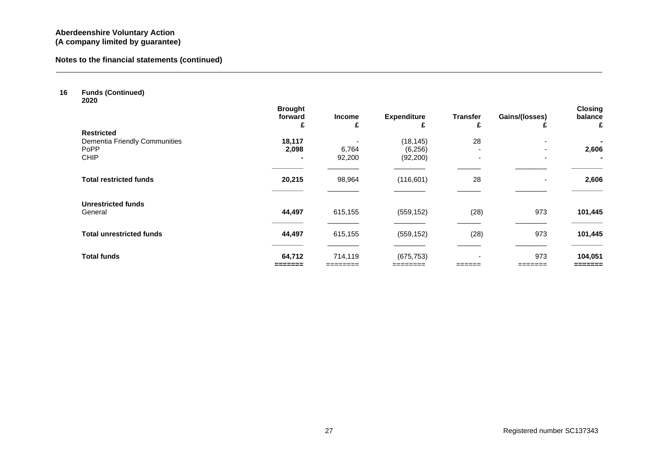| 16 | <b>Funds (Continued)</b><br>2020 |                                |                    |                         |                          |                     |                                |
|----|----------------------------------|--------------------------------|--------------------|-------------------------|--------------------------|---------------------|--------------------------------|
|    |                                  | <b>Brought</b><br>forward<br>£ | <b>Income</b><br>£ | <b>Expenditure</b><br>£ | <b>Transfer</b><br>£     | Gains/(losses)<br>£ | <b>Closing</b><br>balance<br>£ |
|    | <b>Restricted</b>                |                                |                    |                         |                          |                     |                                |
|    | Dementia Friendly Communities    | 18,117                         |                    | (18, 145)               | 28                       | ۰                   |                                |
|    | PoPP                             | 2,098                          | 6,764              | (6,256)                 | $\overline{\phantom{a}}$ |                     | 2,606                          |
|    | <b>CHIP</b>                      |                                | 92,200             | (92, 200)               | $\overline{\phantom{0}}$ |                     | ۰.                             |
|    | <b>Total restricted funds</b>    | 20,215                         | 98,964             | (116, 601)              | 28                       | $\blacksquare$      | 2,606                          |
|    | <b>Unrestricted funds</b>        |                                |                    |                         |                          |                     |                                |
|    | General                          | 44,497                         | 615,155            | (559, 152)              | (28)                     | 973                 | 101,445                        |
|    | <b>Total unrestricted funds</b>  | 44,497                         | 615,155            | (559, 152)              | (28)                     | 973                 | 101,445                        |
|    | <b>Total funds</b>               | 64,712                         | 714,119            | (675, 753)              |                          | 973                 | 104,051                        |
|    |                                  |                                |                    | ========                |                          |                     | =======                        |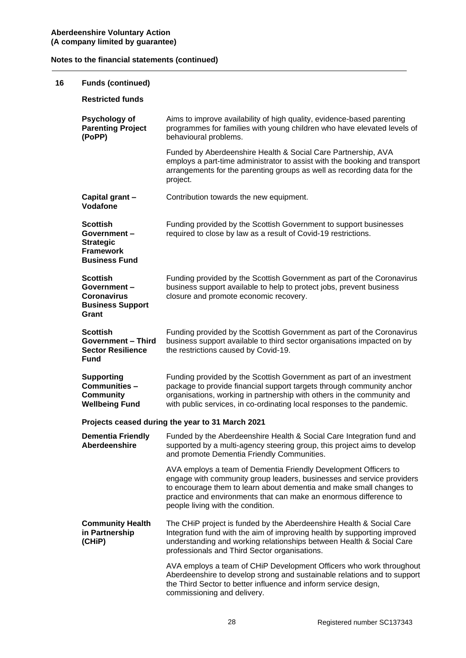| 16 | <b>Funds (continued)</b>                                                                       |                                                                                                                                                                                                                                                                                                                           |
|----|------------------------------------------------------------------------------------------------|---------------------------------------------------------------------------------------------------------------------------------------------------------------------------------------------------------------------------------------------------------------------------------------------------------------------------|
|    | <b>Restricted funds</b>                                                                        |                                                                                                                                                                                                                                                                                                                           |
|    | Psychology of<br><b>Parenting Project</b><br>(PoPP)                                            | Aims to improve availability of high quality, evidence-based parenting<br>programmes for families with young children who have elevated levels of<br>behavioural problems.                                                                                                                                                |
|    |                                                                                                | Funded by Aberdeenshire Health & Social Care Partnership, AVA<br>employs a part-time administrator to assist with the booking and transport<br>arrangements for the parenting groups as well as recording data for the<br>project.                                                                                        |
|    | Capital grant -<br>Vodafone                                                                    | Contribution towards the new equipment.                                                                                                                                                                                                                                                                                   |
|    | <b>Scottish</b><br>Government-<br><b>Strategic</b><br><b>Framework</b><br><b>Business Fund</b> | Funding provided by the Scottish Government to support businesses<br>required to close by law as a result of Covid-19 restrictions.                                                                                                                                                                                       |
|    | <b>Scottish</b><br>Government-<br><b>Coronavirus</b><br><b>Business Support</b><br>Grant       | Funding provided by the Scottish Government as part of the Coronavirus<br>business support available to help to protect jobs, prevent business<br>closure and promote economic recovery.                                                                                                                                  |
|    | <b>Scottish</b><br><b>Government - Third</b><br><b>Sector Resilience</b><br>Fund               | Funding provided by the Scottish Government as part of the Coronavirus<br>business support available to third sector organisations impacted on by<br>the restrictions caused by Covid-19.                                                                                                                                 |
|    | <b>Supporting</b><br>Communities-<br><b>Community</b><br><b>Wellbeing Fund</b>                 | Funding provided by the Scottish Government as part of an investment<br>package to provide financial support targets through community anchor<br>organisations, working in partnership with others in the community and<br>with public services, in co-ordinating local responses to the pandemic.                        |
|    |                                                                                                | Projects ceased during the year to 31 March 2021                                                                                                                                                                                                                                                                          |
|    | <b>Dementia Friendly</b><br>Aberdeenshire                                                      | Funded by the Aberdeenshire Health & Social Care Integration fund and<br>supported by a multi-agency steering group, this project aims to develop<br>and promote Dementia Friendly Communities.                                                                                                                           |
|    |                                                                                                | AVA employs a team of Dementia Friendly Development Officers to<br>engage with community group leaders, businesses and service providers<br>to encourage them to learn about dementia and make small changes to<br>practice and environments that can make an enormous difference to<br>people living with the condition. |
|    | <b>Community Health</b><br>in Partnership<br>(CHiP)                                            | The CHIP project is funded by the Aberdeenshire Health & Social Care<br>Integration fund with the aim of improving health by supporting improved<br>understanding and working relationships between Health & Social Care<br>professionals and Third Sector organisations.                                                 |
|    |                                                                                                | AVA employs a team of CHIP Development Officers who work throughout<br>Aberdeenshire to develop strong and sustainable relations and to support<br>the Third Sector to better influence and inform service design,<br>commissioning and delivery.                                                                         |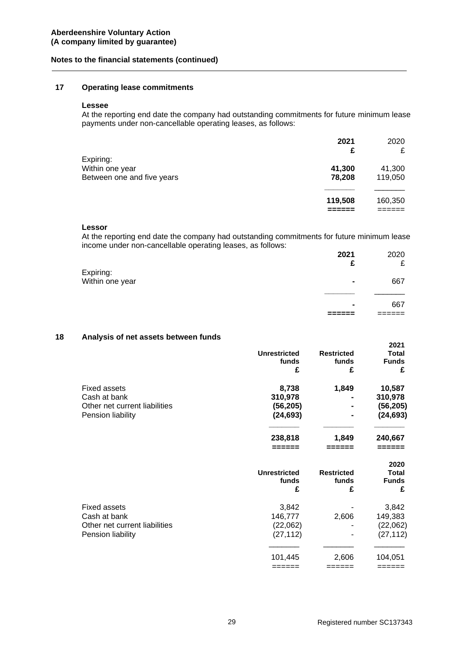## **17 Operating lease commitments**

#### **Lessee**

At the reporting end date the company had outstanding commitments for future minimum lease payments under non-cancellable operating leases, as follows:

|                                                            | 2021<br>£        | 2020<br>£         |
|------------------------------------------------------------|------------------|-------------------|
| Expiring:<br>Within one year<br>Between one and five years | 41,300<br>78,208 | 41,300<br>119,050 |
|                                                            | 119,508          | 160,350           |

### **Lessor**

At the reporting end date the company had outstanding commitments for future minimum lease income under non-cancellable operating leases, as follows:

|                              | 2021           | 2020 |
|------------------------------|----------------|------|
|                              | £              | £    |
| Expiring:<br>Within one year | $\blacksquare$ | 667  |
|                              | $\blacksquare$ | 667  |
|                              |                |      |

## **18 Analysis of net assets between funds**

|                               |                     |                   | 2021         |
|-------------------------------|---------------------|-------------------|--------------|
|                               | <b>Unrestricted</b> | <b>Restricted</b> | <b>Total</b> |
|                               | funds               | funds             | <b>Funds</b> |
|                               | £                   | £                 | £            |
| <b>Fixed assets</b>           | 8,738               | 1,849             | 10,587       |
| Cash at bank                  | 310,978             |                   | 310,978      |
| Other net current liabilities | (56, 205)           |                   | (56, 205)    |
| Pension liability             | (24, 693)           |                   | (24, 693)    |
|                               | 238,818             | 1,849             | 240,667      |
|                               |                     |                   |              |
|                               |                     |                   | 2020         |
|                               | <b>Unrestricted</b> | <b>Restricted</b> | Total        |
|                               | funds               | funds             | <b>Funds</b> |
|                               | £                   | £                 | £            |
| <b>Fixed assets</b>           | 3,842               |                   | 3,842        |
| Cash at bank                  | 146,777             | 2,606             | 149,383      |
| Other net current liabilities | (22,062)            |                   | (22,062)     |
| Pension liability             | (27, 112)           |                   | (27, 112)    |
|                               | 101,445             | 2,606             | 104,051      |
|                               | ======              | ======            | ======       |
|                               |                     |                   |              |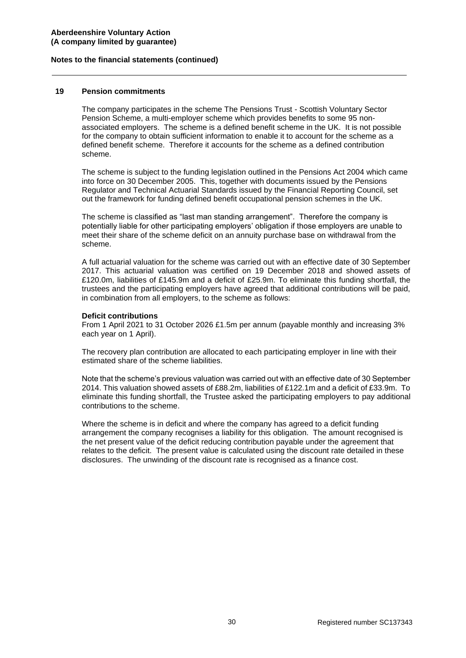#### **19 Pension commitments**

The company participates in the scheme The Pensions Trust - Scottish Voluntary Sector Pension Scheme, a multi-employer scheme which provides benefits to some 95 nonassociated employers. The scheme is a defined benefit scheme in the UK. It is not possible for the company to obtain sufficient information to enable it to account for the scheme as a defined benefit scheme. Therefore it accounts for the scheme as a defined contribution scheme.

The scheme is subject to the funding legislation outlined in the Pensions Act 2004 which came into force on 30 December 2005. This, together with documents issued by the Pensions Regulator and Technical Actuarial Standards issued by the Financial Reporting Council, set out the framework for funding defined benefit occupational pension schemes in the UK.

The scheme is classified as "last man standing arrangement". Therefore the company is potentially liable for other participating employers' obligation if those employers are unable to meet their share of the scheme deficit on an annuity purchase base on withdrawal from the scheme.

A full actuarial valuation for the scheme was carried out with an effective date of 30 September 2017. This actuarial valuation was certified on 19 December 2018 and showed assets of £120.0m, liabilities of £145.9m and a deficit of £25.9m. To eliminate this funding shortfall, the trustees and the participating employers have agreed that additional contributions will be paid, in combination from all employers, to the scheme as follows:

#### **Deficit contributions**

From 1 April 2021 to 31 October 2026 £1.5m per annum (payable monthly and increasing 3% each year on 1 April).

The recovery plan contribution are allocated to each participating employer in line with their estimated share of the scheme liabilities.

Note that the scheme's previous valuation was carried out with an effective date of 30 September 2014. This valuation showed assets of £88.2m, liabilities of £122.1m and a deficit of £33.9m. To eliminate this funding shortfall, the Trustee asked the participating employers to pay additional contributions to the scheme.

Where the scheme is in deficit and where the company has agreed to a deficit funding arrangement the company recognises a liability for this obligation. The amount recognised is the net present value of the deficit reducing contribution payable under the agreement that relates to the deficit. The present value is calculated using the discount rate detailed in these disclosures. The unwinding of the discount rate is recognised as a finance cost.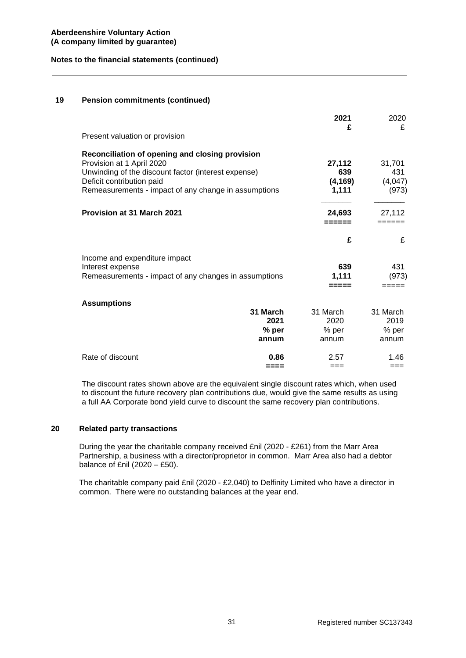## **19 Pension commitments (continued)**

|                                                                                                                                                                                                                          |                                      | 2021<br>£                          | 2020<br>£                          |
|--------------------------------------------------------------------------------------------------------------------------------------------------------------------------------------------------------------------------|--------------------------------------|------------------------------------|------------------------------------|
| Present valuation or provision                                                                                                                                                                                           |                                      |                                    |                                    |
| Reconciliation of opening and closing provision<br>Provision at 1 April 2020<br>Unwinding of the discount factor (interest expense)<br>Deficit contribution paid<br>Remeasurements - impact of any change in assumptions |                                      | 27,112<br>639<br>(4, 169)<br>1,111 | 31,701<br>431<br>(4,047)<br>(973)  |
| <b>Provision at 31 March 2021</b>                                                                                                                                                                                        |                                      | 24,693<br>======                   | 27.112<br>$=$ $=$ $=$ $=$ $=$ $=$  |
|                                                                                                                                                                                                                          |                                      | £                                  | £                                  |
| Income and expenditure impact<br>Interest expense<br>Remeasurements - impact of any changes in assumptions                                                                                                               |                                      | 639<br>1,111<br>=====              | 431<br>(973)<br>-----              |
| <b>Assumptions</b>                                                                                                                                                                                                       | 31 March<br>2021<br>$%$ per<br>annum | 31 March<br>2020<br>% per<br>annum | 31 March<br>2019<br>% per<br>annum |
| Rate of discount                                                                                                                                                                                                         | 0.86<br>====                         | 2.57<br>$==$                       | 1.46<br>$==$                       |

The discount rates shown above are the equivalent single discount rates which, when used to discount the future recovery plan contributions due, would give the same results as using a full AA Corporate bond yield curve to discount the same recovery plan contributions.

## **20 Related party transactions**

During the year the charitable company received £nil (2020 - £261) from the Marr Area Partnership, a business with a director/proprietor in common. Marr Area also had a debtor balance of £nil  $(2020 - £50)$ .

The charitable company paid £nil (2020 - £2,040) to Delfinity Limited who have a director in common. There were no outstanding balances at the year end.